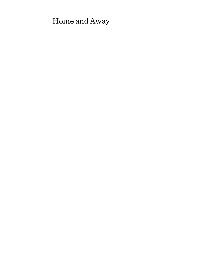# Home and Away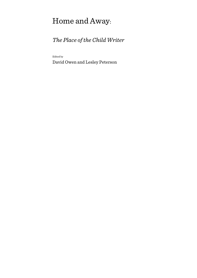# Home and Away:

# *The Place of the Child Writer*

Edited by

David Owen and Lesley Peterson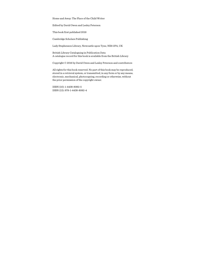Home and Away: The Place of the Child Writer

Edited by David Owen and Lesley Peterson

This book first published 2016

Cambridge Scholars Publishing

Lady Stephenson Library, Newcastle upon Tyne, NE6 2PA, UK

British Library Cataloguing in Publication Data A catalogue record for this book is available from the British Library

Copyright © 2016 by David Owen and Lesley Peterson and contributors

All rights for this book reserved. No part of this book may be reproduced, stored in a retrieval system, or transmitted, in any form or by any means, electronic, mechanical, photocopying, recording or otherwise, without the prior permission of the copyright owner.

ISBN (10): 1-4438-8082-5 ISBN (13): 978-1-4438-8082-4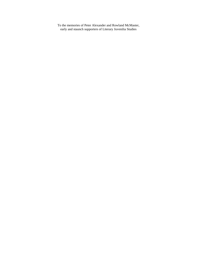To the memories of Peter Alexander and Rowland McMaster, early and staunch supporters of Literary Juvenilia Studies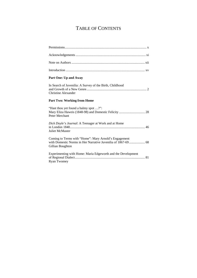# TABLE OF CONTENTS

| Part One: Up and Away                                                                                                                      |
|--------------------------------------------------------------------------------------------------------------------------------------------|
| In Search of Juvenilia: A Survey of the Birth, Childhood<br>Christine Alexander                                                            |
| <b>Part Two: Working from Home</b>                                                                                                         |
| "Hast thou yet found a balmy spot ?":<br>Peter Merchant                                                                                    |
| Dick Doyle's Journal: A Teenager at Work and at Home<br><b>Juliet McMaster</b>                                                             |
| Coming to Terms with "Home": Mary Arnold's Engagement<br>with Domestic Norms in Her Narrative Juvenilia of 1867-69  68<br>Gillian Boughton |
| Experimenting with Home: Maria Edgeworth and the Development<br><b>Ryan Twomey</b>                                                         |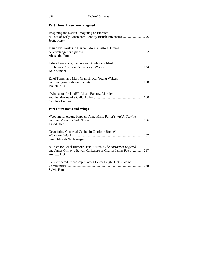### **Part Three: Elsewhere Imagined**

| Imagining the Nation, Imagining an Empire:<br>A Tour of Early Nineteenth-Century British Paracosms  96<br>Joetta Harty                            |
|---------------------------------------------------------------------------------------------------------------------------------------------------|
| Figurative Worlds in Hannah More's Pastoral Drama<br>Alexandra Prunean                                                                            |
| Urban Landscape, Fantasy and Adolescent Identity<br>Kate Sumner                                                                                   |
| Ethel Turner and Mary Grant Bruce: Young Writers<br>Pamela Nutt                                                                                   |
| "What about Ireland?": Alison Barstow Murphy<br><b>Caroline Lieffers</b>                                                                          |
| <b>Part Four: Roots and Wings</b>                                                                                                                 |
| Watching Literature Happen: Anna Maria Porter's Walsh Colville<br>David Owen                                                                      |
| Negotiating Gendered Capital in Charlotte Brontë's<br>Sara Deborah Nyffenegger                                                                    |
| A Taste for Cruel Humour: Jane Austen's The History of England<br>and James Gillray's Bawdy Caricature of Charles James Fox  217<br>Annette Upfal |
| "Remembered Friendship": James Henry Leigh Hunt's Poetic<br>Sylvia Hunt                                                                           |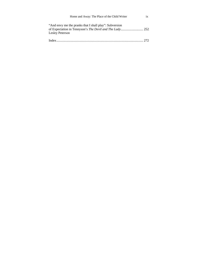| Home and Away: The Place of the Child Writer                              |  |
|---------------------------------------------------------------------------|--|
| "And envy me the pranks that I shall play": Subversion<br>Lesley Peterson |  |
| Indev                                                                     |  |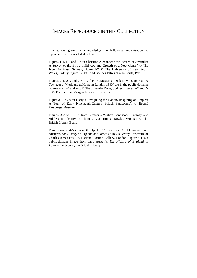## IMAGES REPRODUCED IN THIS COLLECTION

The editors gratefully acknowledge the following authorisation to reproduce the images listed below.

Figures 1-1, 1-3 and 1-4 in Christine Alexander's "In Search of Juvenilia: A Survey of the Birth, Childhood and Growth of a New Genre" © The Juvenilia Press, Sydney; figure 1-2 © The University of New South Wales, Sydney; figure 1-5 © Le Musée des lettres et manuscrits, Paris.

Figures 2-1, 2-3 and 2-5 in Juliet McMaster's "Dick Doyle's Journal: A Teenager at Work and at Home in London 1840" are in the public domain; figures 2-2, 2-4 and 2-6: © The Juvenilia Press, Sydney; figures 2-7 and 2- 8: © The Pierpont Morgan Library, New York.

Figure 3-1 in Joetta Harty's "Imagining the Nation, Imagining an Empire: A Tour of Early Nineteenth-Century British Paracosms": © Brontë Parsonage Museum.

Figures 3-2 to 3-5 in Kate Sumner's "Urban Landscape, Fantasy and Adolescent Identity in Thomas Chatterton's 'Rowley Works': © The British Library Board.

Figures 4-2 to 4-5 in Annette Upfal's "A Taste for Cruel Humour: Jane Austen's *The History of England* and James Gillray's Bawdy Caricature of Charles James Fox": © National Portrait Gallery, London. Figure 4-1 is a public-domain image from Jane Austen's *The History of England* in *Volume the Second*, the British Library.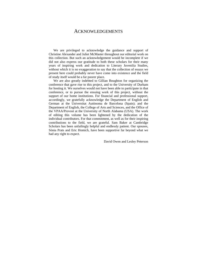### ACKNOWLEDGEMENTS

We are privileged to acknowledge the guidance and support of Christine Alexander and Juliet McMaster throughout our editorial work on this collection. But such an acknowledgement would be incomplete if we did not also express our gratitude to both these scholars for their many years of inspiring work and dedication to Literary Juvenilia Studies, without which it is no exaggeration to say that the collection of essays we present here could probably never have come into existence and the field of study itself would be a far poorer place.

We are also greatly indebted to Gillian Boughton for organizing the conference that gave rise to this project, and to the University of Durham for hosting it. We ourselves would not have been able to participate in that conference, or to pursue the ensuing work of this project, without the support of our home institutions. For financial and professional support, accordingly, we gratefully acknowledge the Department of English and German at the Universitat Autònoma de Barcelona (Spain); and the Department of English, the College of Arts and Sciences, and the Office of the VPAA/Provost at the University of North Alabama (USA). The work of editing this volume has been lightened by the dedication of the individual contributors. For that commitment, as well as for their inspiring contributions to the field, we are grateful. Sam Baker at Cambridge Scholars has been unfailingly helpful and endlessly patient. Our spouses, Sònia Prats and Eric Homich, have been supportive far beyond what we had any right to expect.

David Owen and Lesley Peterson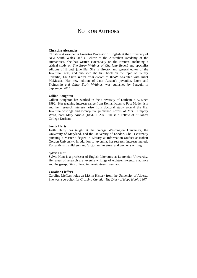# NOTE ON AUTHORS

#### **Christine Alexander**

Christine Alexander is Emeritus Professor of English at the University of New South Wales, and a Fellow of the Australian Academy of the Humanities. She has written extensively on the Brontës, including a critical study on *The Early Writings of Charlotte Brontë* and specialist editions of Brontë juvenilia. She is director and general editor of the Juvenilia Press, and published the first book on the topic of literary juvenilia, *The Child Writer from Austen to Woolf*, co-edited with Juliet McMaster. Her new edition of Jane Austen's juvenilia, Love and Freindship *and Other Early Writings*, was published by Penguin in September 2014.

#### **Gillian Boughton**

Gillian Boughton has worked in the University of Durham, UK, since 1992. Her teaching interests range from Romanticism to Post-Modernism and her research interests arise from doctoral study around the life, Juvenilia writings and twenty-five published novels of Mrs. Humphry Ward, born Mary Arnold (1851- 1920). She is a Fellow of St John's College Durham.

#### **Joetta Harty**

Joetta Harty has taught at the George Washington University, the University of Maryland, and the University of London. She is currently pursuing a Master's degree in Library & Information Studies at Robert Gordon University. In addition to juvenilia, her research interests include Romanticism, children's and Victorian literature, and women's writing.

#### **Sylvia Hunt**

Sylvia Hunt is a professor of English Literature at Laurentian University. Her areas of research are juvenile writings of eighteenth-century authors and the geo-politics of food in the eighteenth century.

#### **Caroline Lieffers**

Caroline Lieffers holds an MA in History from the University of Alberta. She was a co-editor for *Crossing Canada: The Diary of Hope Hook, 1907*.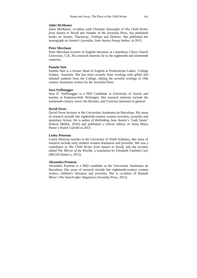#### **Juliet McMaster**

Juliet McMaster, co-editor with Christine Alexander of *The Child Writer from Austen to Woolf* and founder of the Juvenilia Press, has published books on Austen, Thackeray, Trollope and Dickens. She published her monograph on Austen's juvenilia, *Jane Austen,Young Author*, in 2015.

#### **Peter Merchant**

Peter Merchant lectures in English literature at Canterbury Christ Church University, U.K. His research interests lie in the eighteenth and nineteenth centuries.

#### **Pamela Nutt**

Pamela Nutt is a former Head of English at Presbyterian Ladies' College Sydney, Australia. She has most recently been working with gifted and talented students from the College, editing the juvenile writings of 19th century Australian writers for the Juvenilia Press.

#### **Sara Nyffenegger**

Sara D. Nyffenegger is a PhD Candidate at University of Zurich and teaches at Kantonsschule Wettingen. Her research interests include the nineteenth-century novel, the Brontës, and Victorian literature in general.

#### **David Owen**

David Owen lectures at the Universitat Autònoma de Barcelona. His areas of research include late eighteenth-century women novelists, juvenilia and epistolary fiction. He is author of *Rethinking Jane Austen's 'Lady Susan'* (Edwin Mellen, 2010) and published a critical edition of Anna Maria Porter's *Walsh Colville* in 2015.

#### **Lesley Peterson**

Lesley Peterson teaches at the University of North Alabama. Her areas of research include early modern women dramatists and juvenilia. She was a contributor to *The Child Writer from Austen to Woolf*, and she recently edited *The Mirror of the Worlde*, a translation by Elizabeth Tanfield Cary (McGill-Queen's, 2012).

#### **Alexandra Prunean**

Alexandra Prunean is a PhD candidate at the Universitat Autònoma de Barcelona. Her areas of research include late eighteenth-century women writers, children's literature and juvenilia. She is co-editor of Hannah More's *The Search after Happiness* (Juvenilia Press, 2015).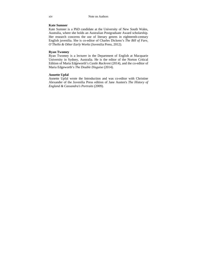#### **Kate Sumner**

Kate Sumner is a PhD candidate at the University of New South Wales, Australia, where she holds an Australian Postgraduate Award scholarship. Her research concerns the use of literary genres in eighteenth-century English juvenilia. She is co-editor of Charles Dickens's *The Bill of Fare, O'Thello & Other Early Works* (Juvenilia Press, 2012).

#### **Ryan Twomey**

Ryan Twomey is a lecturer in the Department of English at Macquarie University in Sydney, Australia. He is the editor of the Norton Critical Edition of Maria Edgeworth's *Castle Rackrent* (2014), and the co-editor of Maria Edgeworth's *The Double Disguise* (2014).

#### **Annette Upfal**

Annette Upfal wrote the Introduction and was co-editor with Christine Alexander of the Juvenilia Press edition of Jane Austen's *The History of England & Cassandra's Portraits* (2009).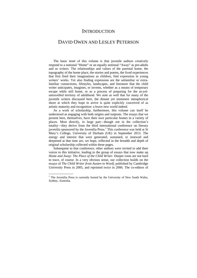### **INTRODUCTION**

### DAVID OWEN AND LESLEY PETERSON

The basic tenet of this volume is that juvenile authors creatively respond to a notional "Home" or an equally notional "Away" as pre-adults and as writers. The relationships and values of the parental home, the topography of the home place, the stories and poems, the lived experiences that first fired their imaginations as children, find expression in young writers' works. Yet also finding expression are the unfamiliar or extrafamiliar connections, lifestyles, landscapes, and literature that the child writer anticipates, imagines, or invents, whether as a means of temporary escape while still home, or as a process of preparing for the as-yetuntravelled territory of adulthood. We note as well that for many of the juvenile writers discussed here, the distant yet imminent metaphorical shore at which they hope to arrive is quite explicitly conceived of as artistic maturity and recognition: a brave new world indeed.

As a work of scholarship, furthermore, this volume can itself be understood as engaging with both origins and outposts. The essays that we present here, themselves, have their own particular homes in a variety of places. Most directly, in large part—though not in the collection's totality—they derive from the third international conference on literary juvenilia sponsored by the Juvenilia Press.<sup>1</sup> This conference was held at St Mary's College, University of Durham (UK) in September 2013. The energy and interest that were generated, sustained, or renewed and deepened at that time are, we hope, reflected in the breadth and depth of original scholarship collected within these pages.

Subsequent to that conference, other authors were invited to add their voices to this initiative, leading to the group of essays that now make up *Home and Away: The Place of the Child Writer*. Deeper roots are not hard to trace, of course. In a very obvious sense, our collection builds on the essays of *The Child Writer from Austen to Woolf*, published by Cambridge University Press in 2005, and reprinted twice in 2006. The co-editors of

 $\overline{a}$ 

 $<sup>1</sup>$  The Juvenilia Press is currently hosted by the University of New South Wales,</sup> Sydney, Australia.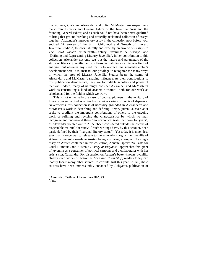that volume, Christine Alexander and Juliet McMaster, are respectively the current Director and General Editor of the Juvenilia Press and the founding General Editor, and as such could not have been better qualified to bring that ground-breaking and critically acclaimed collection of essays together. Alexander's introductory essay in the collection now before you, entitled "A Survey of the Birth, Childhood and Growth of Literary Juvenilia Studies", follows naturally and expertly on two of her essays in *The Child Writer*: "Nineteenth-Century Juvenilia: A Survey" and "Defining and Representing Literary Juvenilia". In her contribution to this collection, Alexander not only sets out the nature and parameters of the study of literary juvenilia, and confirms its validity as a discrete field of analysis, but obviates any need for us to re-trace this scholarly ambit's development here. It is, instead, our privilege to recognize the many ways in which the area of Literary Juvenilia Studies bears the stamp of Alexander's and McMaster's shaping influence. As their contributions to this publication demonstrate, they are formidable scholars and powerful mentors. Indeed, many of us might consider Alexander and McMaster's work as constituting a kind of academic "home", both for our work as scholars and for the field in which we work.

This is not universally the case, of course; pioneers in the territory of Literary Juvenilia Studies arrive from a wide variety of points of departure. Nevertheless, this collection is of necessity grounded in Alexander's and McMaster's work in describing and defining literary juvenilia, even as it seeks to spotlight the important contributions of others to the ongoing work of refining and revising the characteristics by which we may recognize and understand these "non-canonical texts that have for years", as Alexander pointed out in 2005, "been considered outside the corpus of respectable material for study".<sup>2</sup> Such writings have, by this account, been partly defined by their "marginal literary status".<sup>3</sup> Yet today it is much less easy than it once was to relegate to the scholarly margins the juvenilia of at least some authors—Jane Austen being a striking example. The single essay on Austen contained in this collection, Annette Upfal's "A Taste for Cruel Humour: Jane Austen's *History of England*", approaches this giant of juvenilia as a consumer of political cartoons and a collaborator with her artist sister, Cassandra. For discussion on Austen's better-known juvenilia, chiefly such works of fiction as *Love and Freindship*, readers today can readily locate many other sources to consult. Just this year, in fact, these sources have been immeasurably enhanced by Ashgate's publication of

 $\overline{a}$ 

<sup>&</sup>lt;sup>2</sup> Alexander, "Defining Literary Juvenilia", 93.

 $3$  Ibid.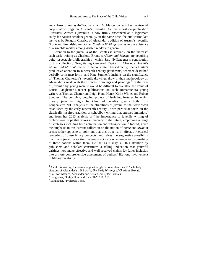*Jane Austen, Young Author*, in which McMaster collects her magisterial corpus of writings on Austen's juvenilia. As this milestone publication illustrates, Austen's juvenilia is now firmly ensconced as a legitimate study for Austen scholars generally. At the same time, the publication late last year by Penguin Classics of Alexander's edition of Austen's juvenilia (Love and Freindship *and Other Youthful Writings*) points to the existence of a sizeable market among Austen readers in general.

Attention to the juvenilia of the Brontës is similarly on the increase: such early writing as Charlotte Brontë's *Albion and Marina* are acquiring quite respectable bibliographies—which Sara Nyffenegger's contribution to this collection, "Negotiating Gendered Capital in Charlotte Brontë's Albion and Marina", helps to demonstrate.<sup>4</sup> Less directly, Joetta Harty's productive attention to nineteenth-century paracosms, whether described verbally or in map form, and Kate Sumner's insights on the significance of Thomas Chatterton's juvenile drawings, draw in their methodology on Alexander's work with the Brontës' drawings and paintings.<sup>5</sup> In the case of juvenilia by young men, it would be difficult to overstate the value of Laurie Langbauer's recent publications on such Romantic-era young writers as Thomas Chatterton, Leigh Hunt, Henry Kirke White, and Robert Southey. The complex, ongoing project of isolating features by which literary juvenilia might be identified benefits greatly both from Langbauer's 2011 analysis of the "traditions of juvenilia" that were "well established by the early nineteenth century", with particular focus on the classically-inspired tradition of schoolboy writing that stressed imitation,<sup>6</sup> and from her 2013 analysis of "the importance to juvenile writing of prolepsis—a trope that yokes immediacy to the future, employing a range of strategies including both anticipation and retrospection".<sup>7</sup> Indeed, given the emphasis in this current collection on the notion of *home* and *away*, it seems rather apposite to point out that this trope is, in effect, a rhetorical rendering of these binary concepts, and raises the suggestive possibility that much juvenilia writing may—consciously or not—contain something of these notions within them. Be that as it may, all this attention by publishers and scholars constitutes a telling indication that youthful writings now make effective and well-received claims for fuller inclusion into a more comprehensive assessment of authors' life-long involvement in literary creativity.

<sup>&</sup>lt;sup>4</sup> As of this writing, the search engine Google Scholar identifies 102 scholarly citations of Alexander's 1983 work, *The Early Writings of Charlotte Brontë.* <sup>5</sup>

See, for instance, Alexander and Sellars, *Art of the Brontës*. 6

Langbauer, "Leigh Hunt and Juvenilia", 118, 112.

<sup>7</sup> Langbauer, "Prolepsis", 888.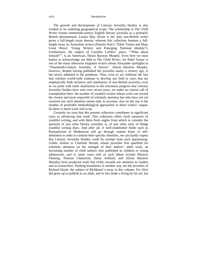The growth and development of Literary Juvenilia Studies is also evident in its widening geographical scope. The scholarship in *The Child Writer* frames nineteenth-century English literary juvenilia as a primarily British phenomenon; Louisa May Alcott is the only non-British writer given a full-length essay therein, whereas this collection features a fulllength essay on Australian writers (Pamela Nutt's "Ethel Turner and Mary Grant Bruce: Young Writers and Emerging National Identity"). Furthermore, the subject of Caroline Lieffers' piece, "'What about Ireland?'", is an American, Alison Barstow Murphy. Even here we must hasten to acknowledge our debt to *The Child Writer*, for Ethel Turner is one of the many otherwise forgotten writers whom Alexander spotlights in "Nineteenth-Century Juvenilia: A Survey". Alison Barstow Murphy, however, despite having published her juvenilia nearly a century ago, is but newly admitted to the pantheon. Thus, even as we celebrate the fact that scholars world-wide continue to develop our field in ways that are emphatically both inclusive and celebratory of non-British juvenilia, even as we point with some satisfaction to the enormous progress that Literary Juvenilia Studies have seen over recent years, we make no clarion call of triumphalism here: the number of youthful writers whose work can reward the closest and most respectful of scholarly attention but who have not yet received any such attention seems only to increase; also on the rise is the number of profitable methodological approaches to these writers' output. So there is much work still to do.

Certainly we trust that this present collection contributes in significant ways to advancing that work. This collection offers fresh instances of youthful writing, and with them fresh angles from which to consider the question of just what literary juvenilia is, of just what sorts of things youthful writing does. And after all, if well-established fields such as Romanticism or Modernism still go through routine bouts of selfdefinition in order to confirm their specific identities, we can hardly expect that Literary Juvenilia Studies could be exempt from such questioning. Unlike Austen or Charlotte Brontë, whose juvenilia first qualified for scholarly attention on the strength of their authors' adult work, an increasing number of child authors who published as children or young adolescents, and in some cases *only* as such (these include Marjory Fleming, Thomas Chatterton, Daisy Ashford, and Alison Barstow Murphy) have produced work that richly rewards our attention as readers and as researchers. Pushing boundaries in another way are the juvenilia of Richard Doyle, the subject of McMaster's essay in this volume. For Dick did grow up to publish as an adult, and in fact made a living by his art; but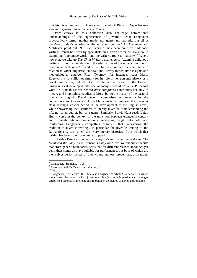it is his visual art, not his literary art, for which Richard Doyle became known to generations of readers of *Punch*.

Other essays in this collection also challenge conventional understandings of the significance of juvenilia—what Langbauer provocatively terms "neither mode, nor genre, nor attitude, but all at once"—to today's scholars of literature and culture.<sup>8</sup> As Alexander and McMaster point out, "Of such work as has been done on childhood writings, much has been by specialists on a given writer, with a view to examining 'apprentice work', and the writer's route to maturity".<sup>9</sup> When, however, we take up *The Child Writer*'s challenge to "examine childhood writings … not just in relation to the adult works of the same author, but in relation to each other";<sup>10</sup> and when, furthermore, we consider them in relation to wider linguistic, cultural, and literary trends, new insights and methodologies emerge. Ryan Twomey, for instance, reads Maria Edgeworth's juvenilia not simply for its role in her personal history as a developing writer, but also for its role in the history of the English language as it developed into one of many co-valid variants. Prunean's work on Hannah More's *Search after Happiness* contributes not only to literary and biographical studies of More, but to the history of the pastoral drama in English; David Owen's comparison of juvenilia by the contemporaries Austen and Anna Maria Porter illuminates the issues at stake during a crucial period in the development of the English novel, while showcasing the usefulness of literary juvenilia to understanding the life, not of an author, but of a genre. Similarly, Sylvia Hunt reads Leigh Hunt's verse in the context of the transition between eighteenth-century and Romantic literary conventions, generating insight into both, and reinforcing Langbauer's compelling argument that "recovering the tradition of juvenile writing", in particular the juvenile writing of the Romantic era, can "alter" the "very literary histories" from which that writing has been so unfortunately dropped.<sup>11</sup>

In Lesley Peterson's essay on Tennyson's unfinished verse drama, *The Devil and the Lady*, as in Prunean's essay on More, we encounter works that cross generic boundaries: texts that for different reasons announce yet deny their status as plays suitable for performance, but both of which are themselves performances of their young authors' credentials, aspirations,

<sup>8</sup> Langbauer, "Romance", 109.

<sup>&</sup>lt;sup>9</sup> Alexander and McMaster, Introduction, 3.

 $10$  Ibid.

<sup>&</sup>lt;sup>11</sup> Langbauer, "Prolepsis", 891. See also Langbauer's article, "Romance", in which she analyses the ways in which juvenile writing (Austen's in particular) challenges established theories of the relationship between the genres of novel and romance.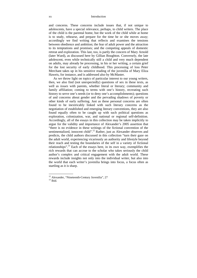#### xx Introduction

and concerns. These concerns include issues that, if not unique to adolescents, have a special relevance, perhaps, to child writers. The place of the child is the parental home, but the work of the child while at home is to study, rehearse, and prepare for the time he or she moves away; accordingly we find writing that reflects and examines the tensions between obedience and ambition; the fear of adult power and the attraction to its temptations and promises; and the competing appeals of domestic retreat and exploration. This last, too, is partly the concern of Mary Arnold (later Ward), as discussed here by Gillian Boughton. Conversely, the late adolescent, even while technically still a child and very much dependent on adults, may already be processing, in his or her writing, a certain grief for the lost security of early childhood. This processing of loss Peter Merchant takes up in his sensitive reading of the juvenilia of Mary Eliza Haweis, for instance, and is addressed also by McMaster.

As we throw light on topics of particular interest to our young writers, then, we also find (not unexpectedly) questions of sex in these texts, as well as *issues* with parents, whether literal or literary; community and family affiliation; coming to terms with one's history, recreating such history to serve one's needs (or to deny one's accomplishments); questions of and concerns about gender and the pervading shadows of poverty or other kinds of early suffering. Just as these personal concerns are often found to be inextricably linked with such literary concerns as the negotiation of established and emerging literary conventions, they are also found equally often to be caught up with such political questions as exploration, colonization, war, and national or regional self-definition. Accordingly, all of the essays in this collection may be taken implicitly to argue for the validity and importance of Alexander's 2005 assertion that "there is no evidence in these writings of the fictional convention of the sentimentalized, innocent child".<sup>12</sup> Rather, just as Alexander observes and predicts, the child authors discussed in this collection "turn their gaze on the adult world, experiencing vicariously an authority and lifestyle beyond their reach and testing the boundaries of the self in a variety of fictional relationships".13 Each of the essays here, in its own way, exemplifies the rich rewards that can accrue to the scholar who takes seriously the child author's complex and critical engagement with the adult world. These rewards include insights not only into the individual writer, but also into the world that each writer's juvenilia brings into focus, a focus often as startling as it is sharp.

 $\overline{a}$ 

<sup>&</sup>lt;sup>12</sup> Alexander, "Nineteenth-Century Juvenilia", 27

 $13$  Ibid.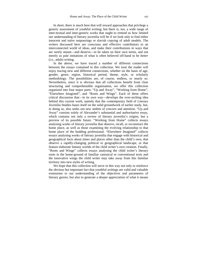In short, there is much here that will reward approaches that privilege a generic assessment of youthful writing; but there is, too, a wide range of inter-textual and inter-generic works that ought to remind us how limited our understanding of literary juvenilia will be if we look only to find either innocent and naïve outpourings or slavish copying of adult models. The writers discussed here are conscious and effective contributors to an interconnected world of ideas, and make their contributions in ways that are surely meant—and deserve—to be taken on their own terms, and not merely as pale imitations of what is often believed off-hand to be *better* (i.e., adult) writing.

In the above, we have traced a number of different connections between the essays contained in this collection. We trust the reader will enjoy tracing new and different connections, whether on the basis of age, gender, genre, region, historical period, theme, style, or scholarly methodology. The possibilities are, of course, endless, or nearly so. Nevertheless, since it is obvious that all collections benefit from clear structuring and comprehensible organisation, we offer this collection organized into four major parts: "Up and Away", "Working from Home", "Elsewhere Imagined", and "Roots and Wings". Each of these offers critical discussion that—in its own way—develops the over-arching idea behind this current work, namely that the contemporary field of Literary Juvenilia Studies bases itself on the solid groundwork of earlier study, but, in doing so, also seeks out new ambits of concern and attention. "Up and Away" consists solely of Alexander's substantial and authoritative essay, which contains not only a review of literary juvenilia's origins, but a preview of its possible future. "Working from Home" collects essays analysing works of literary juvenilia that observe, recall, or reconstruct the home place, as well as those examining the evolving relationship to that home place of the budding professional. "Elsewhere Imagined" collects essays analysing works of literary juvenilia that engage with historical and geographical facts about times and places other than the child's own, that observe a rapidly-changing political or geographical landscape, or that feature elaborate fantasy worlds of the child writer's own creation. Finally, "Roots and Wings" collects essays analysing the child writer's literary roots in the home-ground of familiar canonical or conventional texts and the innovative wings the child writer may take away from this familiar territory into new styles of writing.

We hope that this collection will serve in this way not only to reinforce the obvious but important fact that youthful writings are valid and valuable extensions to our understanding of the objectives and parameters of literary genres, but also to generate a deeper appreciation of what it means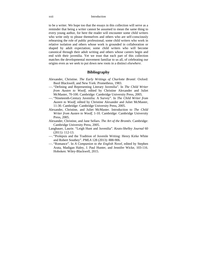to be a writer. We hope too that the essays in this collection will serve as a reminder that being a writer cannot be assumed to mean the same thing to every young author, for here the reader will encounter some child writers who write only to please themselves and others who are self-consciously rehearsing the role of public professional; some child writers who work in relative isolation and others whose work is grounded in collaboration or shaped by adult expectation; some child writers who will become canonical through their adult writing and others whose careers begin and end with their juvenilia. Yet we trust that each part of this collection matches the developmental movement familiar to us all, of celebrating our origins even as we seek to put down new roots in a distinct *elsewhere*.

#### **Bibliography**

- Alexander, Christine. *The Early Writings of Charlotte Brontë*. Oxford: Basil Blackwell, and New York: Prometheus, 1983.
- —. "Defining and Representing Literary Juvenilia". In *The Child Writer from Austen to Woolf*, edited by Christine Alexander and Juliet McMaster, 70-100. Cambridge: Cambridge University Press, 2005.
- —. "Nineteenth-Century Juvenilia: A Survey". In *The Child Writer from Austen to Woolf*, edited by Christine Alexander and Juliet McMaster, 11-30. Cambridge: Cambridge University Press, 2005.
- Alexander, Christine, and Juliet McMaster. Introduction to *The Child Writer from Austen to Woolf*, 1-10. Cambridge: Cambridge University Press, 2005.
- Alexander, Christine, and Jane Sellars. *The Art of the Brontës*. Cambridge: Cambridge University Press, 2005.
- Langbauer, Laurie. "Leigh Hunt and Juvenilia". *Keats-Shelley Journal* 60 (2011): 112-13.
- —. "Prolepsis and the Tradition of Juvenile Writing: Henry Kirke White and Robert Southey". *PMLA* 128 (2013): 888-906.
- —. "Romance". In *A Companion to the English Novel*, edited by Stephen Arata, Madigan Haley, J. Paul Hunter, and Jennifer Wicke, 103-116. Hoboken: Wiley-Blackwell, 2015.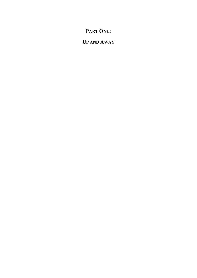# **PART ONE:**

# **UP AND AWAY**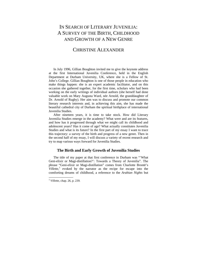# IN SEARCH OF LITERARY JUVENILIA: A SURVEY OF THE BIRTH, CHILDHOOD AND GROWTH OF A NEW GENRE

## CHRISTINE ALEXANDER

In July 1996, Gillian Boughton invited me to give the keynote address at the first International Juvenilia Conference, held in the English Department at Durham University, UK, where she is a Fellow of St. John's College. Gillian Boughton is one of those people in education who make things happen: she is an expert academic facilitator, and on this occasion she gathered together, for the first time, scholars who had been working on the early writings of individual authors (she herself had done valuable work on Mary Augusta Ward, née Arnold, the granddaughter of Dr. Arnold of Rugby). Her aim was to discuss and promote our common literary research interests and, in achieving this aim, she has made the beautiful cathedral city of Durham the spiritual birthplace of international Juvenilia Studies.

After nineteen years, it is time to take stock. How did Literary Juvenilia Studies emerge in the academy? What were and are its features, and how has it progressed through what we might call its childhood and adolescent years? Has it come of age? What actually constitutes Juvenilia Studies and what is its future? In the first part of my essay I want to trace this trajectory: a survey of the birth and progress of a new genre. Then in the second half of my essay, I will discuss a variety of recent research and try to map various ways forward for Juvenilia Studies.

#### **The Birth and Early Growth of Juvenilia Studies**

The title of my paper at that first conference in Durham was "'What Geni-elixir or Magi-distillation?': Towards a Theory of Juvenilia". The phrase "Geni-elixir or Magi-distillation" comes from Charlotte Brontë's *Villette*,<sup>1</sup> evoked by the narrator as the recipe for escape into the comforting dreams of childhood, a reference to the *Arabian Nights* but

<sup>1</sup> *Villette*, chap. 26, p. 239.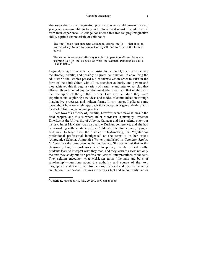also suggestive of the imaginative process by which children—in this case young writers—are able to transport, relocate and rewrite the adult world from their experience. Coleridge considered this free-ranging imaginative ability a prime characteristic of childhood:

The first lesson that innocent Childhood affords me is — that it is an instinct of my Nature to pass out of myself, and to exist in the form of others.

The second is — not to suffer any one form to pass into ME and become a usurping Self in the disguise of what the German Pathologists call a FIXED IDEA $^2$ 

I argued, using for convenience a post-colonial model, that this is the way the Brontë juvenilia, and possibly all juvenilia, function. In colonizing the adult world the Brontës passed out of themselves in order to exist in the form of the adult Other, with all its attendant authority and power; and they achieved this through a variety of narrative and intertextual play that allowed them to avoid any one dominant adult discourse that might usurp the free spirit of the youthful writer. Like most children they were experimenters, exploring new ideas and modes of communication through imaginative processes and written forms. In my paper, I offered some ideas about how we might approach the concept as a genre, dealing with ideas of definition, genre and practice.

Ideas towards a theory of juvenilia, however, won't make studies in the field happen, and this is where Juliet McMaster (University Professor Emeritus at the University of Alberta, Canada) and her students enter our history. Juliet McMaster was also at the Durham conference, and she had been working with her students in a Children's Literature course, trying to find ways to teach them the practice of text-making, that "mysterious professional professorial indulgence" as she terms it in her article "Apprentice Scholar, Apprentice Writer", published in *Canadian Studies in Literature* the same year as the conference. She points out that in the classroom, English professors tend to purvey mainly critical skills. Students learn to interpret what they read, and they learn to assess not only the text they study but also professional critics' interpretations of the text. They seldom encounter what McMaster terms "the nuts and bolts of scholarship"—questions about the authority and source of the text, biographical and contextual introductions, historical and other explanatory annotation. Such textual features are seen as fact and seldom critiqued or

 $2^2$  Coleridge, Notebook 47, fols. 20-20v, 19 October 1830.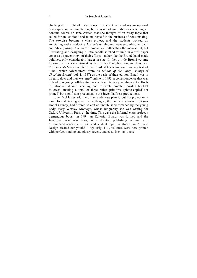challenged. In light of these concerns she set her students an optional essay question on annotation; but it was not until she was teaching an honours course on Jane Austen that she thought of an essay topic that called for an "edition" and found herself in the business of book-making. The exercise became a class project, and the students worked on annotating and introducing Austen's uninhibited teenage burlesque "Jack and Alice", using Chapman's famous text rather than the manuscript, but illustrating and designing a little saddle-stitched volume in a stiff paper cover as a souvenir text of their efforts—rather like the Brontë hand-made volumes, only considerably larger in size. In fact a little Brontë volume followed in the same format as the result of another honours class, and Professor McMaster wrote to me to ask if her team could use my text of "The Twelve Adventurers" from *An Edition of the Early Writings of Charlotte Brontë* (vol. 1, 1987) as the basis of their edition. Email was in its early days and thus we "met" online in 1993, a correspondence that was to lead to ongoing collaborative research in literary juvenilia and to efforts to introduce it into teaching and research. Another Austen booklet followed, making a total of three rather primitive (photo-copied not printed) but significant precursors to the Juvenilia Press productions.

Juliet McMaster told me of her ambitious plan to put the project on a more formal footing since her colleague, the eminent scholar Professor Isobel Grundy, had offered to edit an unpublished romance by the young Lady Mary Wortley Montagu, whose biography she was writing for Oxford University Press at the time. This gave the informal class project a tremendous boost: in 1994 an Editorial Board was formed and the Juvenilia Press was born, as a desktop publishing venture with experienced academic editors and student input. A student in Art and Design created our youthful logo (Fig. 1-1), volumes were now printed with perfect-binding and glossy covers, and costs inevitably rose.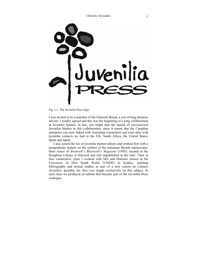

Fig. 1-1. The Juvenilia Press logo.

I was invited to be a member of the Editorial Board, a sort of long-distance adviser. I readily agreed and this was the beginning of a long collaboration in Juvenilia Studies. In fact, one might date the launch of *international* Juvenilia Studies to this collaboration, since it meant that the Canadian enterprise was now linked with Australian researchers and soon after with juvenilia contacts we had in the UK, South Africa, the United States, Spain and Japan.

I also joined the list of juvenilia mentor editors and worked first with a postgraduate student on the earliest of the miniature Brontë manuscripts, three issues of *Branwell's Blackwell's Magazine* (1995), located at the Houghton Library at Harvard and still unpublished at the time. Then in four consecutive years I worked with MA and Honours classes at the University of New South Wales (UNSW) in Sydney, teaching bibliography and textual studies as part of a new course on Literary Juvenilia—possibly the first ever taught exclusively on this subject. In each class we produced an edition that became part of the Juvenilia Press catalogue.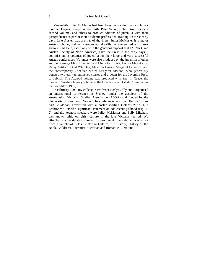Meanwhile Juliet McMaster had been busy contracting major scholars like Jan Fergus, Joseph Wiesenfarth, Peter Sabor, Isobel Grundy (for a second volume) and others to produce editions of juvenilia with their postgraduates as part of their academic professional training. In these early days, Jane Austen was a pillar of the Press: Juliet McMaster is a major Austen scholar, and her entrepreneurial skills were exercised with great gusto in this field, especially with the generous support that JASNA (Jane Austen Society of North America) gave the Press in the early days commissioning volumes of juvenilia for their large and very successful Austen conferences. Volumes were also produced on the juvenilia of other authors: George Eliot, Branwell and Charlotte Brontë, Louisa May Alcott, Daisy Ashford, Opal Whiteley, Malcolm Lowry, Margaret Laurence, and the contemporary Canadian writer Margaret Atwood, who generously donated two early unpublished stories and a poem for the Juvenilia Press to publish. The Atwood volume was produced with Sherrill Grace, the pioneer Canadian literary scholar at the University of British Columbia, as mentor editor (1997).

In February 1999, my colleague Professor Roslyn Jolly and I organised an international conference in Sydney, under the auspices of the Australasian Victorian Studies Association (AVSA) and funded by the University of New South Wales. The conference was titled *The Victorians and Childhood*, advertised with a poster sporting Gotch's "The Child Enthroned"—itself a significant statement on adolescent girlhood (Fig. 1- 2); and the keynote speakers were Juliet McMaster and Sally Mitchell, well-known critic on girls' culture in the late Victorian period. We attracted a considerable number of prominent international academics from a variety of fields: Victorian Culture, Art History, History of the Book, Children's Literature, Victorian and Romantic Literature.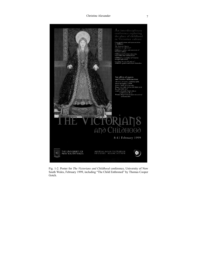#### Christine Alexander 7



Fig. 1-2. Poster for *The Victorians and Childhood* conference, University of New South Wales, February 1999, including "The Child Enthroned" by Thomas Cooper Gotch.